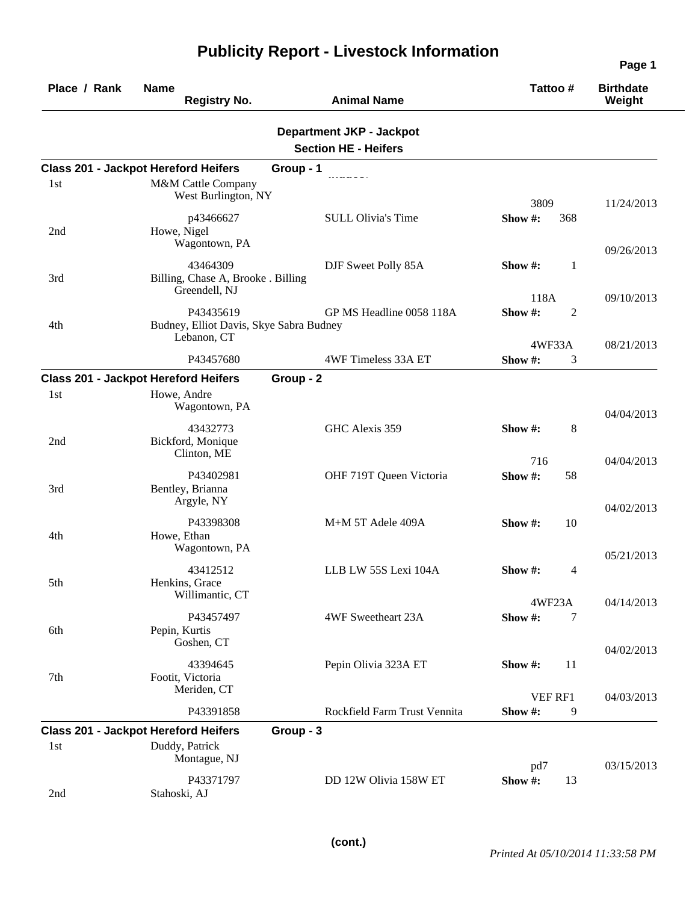| Place / Rank | <b>Name</b><br><b>Registry No.</b>                                            | <b>Animal Name</b>                                             | Tattoo#                   | <b>Birthdate</b><br>Weight |
|--------------|-------------------------------------------------------------------------------|----------------------------------------------------------------|---------------------------|----------------------------|
|              |                                                                               | <b>Department JKP - Jackpot</b><br><b>Section HE - Heifers</b> |                           |                            |
|              | <b>Class 201 - Jackpot Hereford Heifers</b>                                   | Group - 1                                                      |                           |                            |
| 1st          | M&M Cattle Company<br>West Burlington, NY                                     |                                                                | 3809                      | 11/24/2013                 |
| 2nd          | p43466627<br>Howe, Nigel<br>Wagontown, PA                                     | <b>SULL Olivia's Time</b>                                      | Show#:<br>368             | 09/26/2013                 |
| 3rd          | 43464309<br>Billing, Chase A, Brooke . Billing<br>Greendell, NJ               | DJF Sweet Polly 85A                                            | Show #:<br>1<br>118A      |                            |
| 4th          | P43435619<br>Budney, Elliot Davis, Skye Sabra Budney<br>Lebanon, CT           | GP MS Headline 0058 118A                                       | Show#:<br>$\overline{2}$  | 09/10/2013                 |
|              |                                                                               |                                                                | 4WF33A                    | 08/21/2013                 |
|              | P43457680                                                                     | 4WF Timeless 33A ET                                            | 3<br>Show #:              |                            |
|              | <b>Class 201 - Jackpot Hereford Heifers</b>                                   | Group - 2                                                      |                           |                            |
| 1st          | Howe, Andre<br>Wagontown, PA                                                  |                                                                |                           | 04/04/2013                 |
| 2nd          | 43432773<br>Bickford, Monique<br>Clinton, ME                                  | GHC Alexis 359                                                 | 8<br>Show #:              |                            |
| 3rd          | P43402981<br>Bentley, Brianna<br>Argyle, NY                                   | OHF 719T Queen Victoria                                        | 716<br>Show#:<br>58       | 04/04/2013<br>04/02/2013   |
| 4th          | P43398308<br>Howe, Ethan<br>Wagontown, PA                                     | M+M 5T Adele 409A                                              | 10<br>Show $#$ :          |                            |
| 5th          | 43412512<br>Henkins, Grace<br>Willimantic, CT                                 | LLB LW 55S Lexi 104A                                           | Show #:<br>$\overline{4}$ | 05/21/2013                 |
| 6th          | P43457497<br>Pepin, Kurtis<br>Goshen, CT                                      | 4WF Sweetheart 23A                                             | 4WF23A<br>Show #:<br>7    | 04/14/2013                 |
| 7th          | 43394645<br>Footit, Victoria<br>Meriden, CT                                   | Pepin Olivia 323A ET                                           | 11<br>Show #:             | 04/02/2013                 |
|              | P43391858                                                                     | Rockfield Farm Trust Vennita                                   | VEF RF1<br>Show#:<br>9    | 04/03/2013                 |
| 1st          | <b>Class 201 - Jackpot Hereford Heifers</b><br>Duddy, Patrick<br>Montague, NJ | Group - 3                                                      |                           |                            |
| 2nd          | P43371797<br>Stahoski, AJ                                                     | DD 12W Olivia 158W ET                                          | pd7<br>Show #:<br>13      | 03/15/2013                 |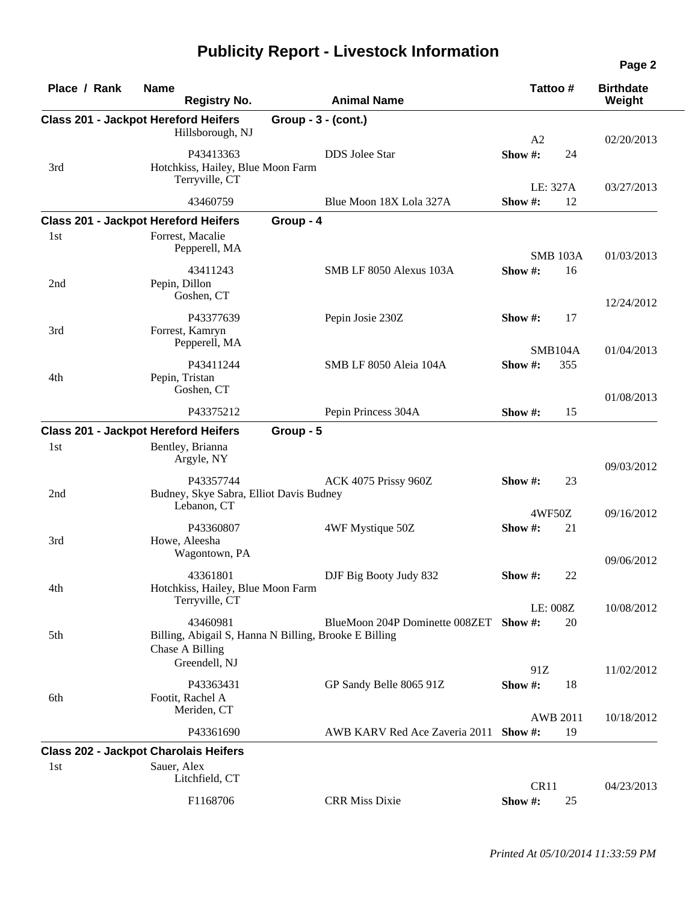| Place / Rank | <b>Name</b><br><b>Registry No.</b>                                                                    |                       | <b>Animal Name</b>                     |                | Tattoo#               | <b>Birthdate</b><br>Weight |
|--------------|-------------------------------------------------------------------------------------------------------|-----------------------|----------------------------------------|----------------|-----------------------|----------------------------|
|              | <b>Class 201 - Jackpot Hereford Heifers</b><br>Hillsborough, NJ                                       | Group - $3 - (cont.)$ |                                        | A <sub>2</sub> |                       | 02/20/2013                 |
| 3rd          | P43413363<br>Hotchkiss, Hailey, Blue Moon Farm<br>Terryville, CT                                      |                       | <b>DDS</b> Jolee Star                  | Show#:         | 24                    |                            |
|              | 43460759                                                                                              |                       | Blue Moon 18X Lola 327A                | Show #:        | LE: 327A<br>12        | 03/27/2013                 |
|              | <b>Class 201 - Jackpot Hereford Heifers</b>                                                           | Group - 4             |                                        |                |                       |                            |
| 1st          | Forrest, Macalie<br>Pepperell, MA                                                                     |                       |                                        |                | <b>SMB 103A</b>       | 01/03/2013                 |
| 2nd          | 43411243<br>Pepin, Dillon<br>Goshen, CT                                                               |                       | SMB LF 8050 Alexus 103A                | Show #:        | 16                    | 12/24/2012                 |
| 3rd          | P43377639<br>Forrest, Kamryn<br>Pepperell, MA                                                         |                       | Pepin Josie 230Z                       | Show $#$ :     | 17                    |                            |
| 4th          | P43411244<br>Pepin, Tristan                                                                           |                       | SMB LF 8050 Aleia 104A                 | Show #:        | <b>SMB104A</b><br>355 | 01/04/2013                 |
|              | Goshen, CT<br>P43375212                                                                               |                       | Pepin Princess 304A                    | Show $#$ :     | 15                    | 01/08/2013                 |
|              | <b>Class 201 - Jackpot Hereford Heifers</b>                                                           | Group - 5             |                                        |                |                       |                            |
| 1st          | Bentley, Brianna<br>Argyle, NY                                                                        |                       |                                        |                |                       | 09/03/2012                 |
| 2nd          | P43357744<br>Budney, Skye Sabra, Elliot Davis Budney<br>Lebanon, CT                                   |                       | ACK 4075 Prissy 960Z                   | Show $#$ :     | 23                    |                            |
|              | P43360807                                                                                             |                       | 4WF Mystique 50Z                       | Show #:        | 4WF50Z<br>21          | 09/16/2012                 |
| 3rd          | Howe, Aleesha<br>Wagontown, PA                                                                        |                       |                                        |                |                       | 09/06/2012                 |
| 4th          | 43361801<br>Hotchkiss, Hailey, Blue Moon Farm                                                         |                       | DJF Big Booty Judy 832                 | Show $#$ :     | 22                    |                            |
|              | Terryville, CT                                                                                        |                       |                                        |                | LE: 008Z              | 10/08/2012                 |
| 5th          | 43460981<br>Billing, Abigail S, Hanna N Billing, Brooke E Billing<br>Chase A Billing<br>Greendell, NJ |                       | BlueMoon 204P Dominette 008ZET Show #: |                | 20                    |                            |
| 6th          | P43363431<br>Footit, Rachel A                                                                         |                       | GP Sandy Belle 8065 91Z                | 91Z<br>Show #: | 18                    | 11/02/2012                 |
|              | Meriden, CT                                                                                           |                       |                                        |                | <b>AWB 2011</b>       | 10/18/2012                 |
|              | P43361690                                                                                             |                       | AWB KARV Red Ace Zaveria 2011 Show #:  |                | 19                    |                            |
|              | <b>Class 202 - Jackpot Charolais Heifers</b>                                                          |                       |                                        |                |                       |                            |
| 1st          | Sauer, Alex<br>Litchfield, CT                                                                         |                       |                                        | CR11           |                       | 04/23/2013                 |
|              | F1168706                                                                                              |                       | <b>CRR Miss Dixie</b>                  | Show #:        | 25                    |                            |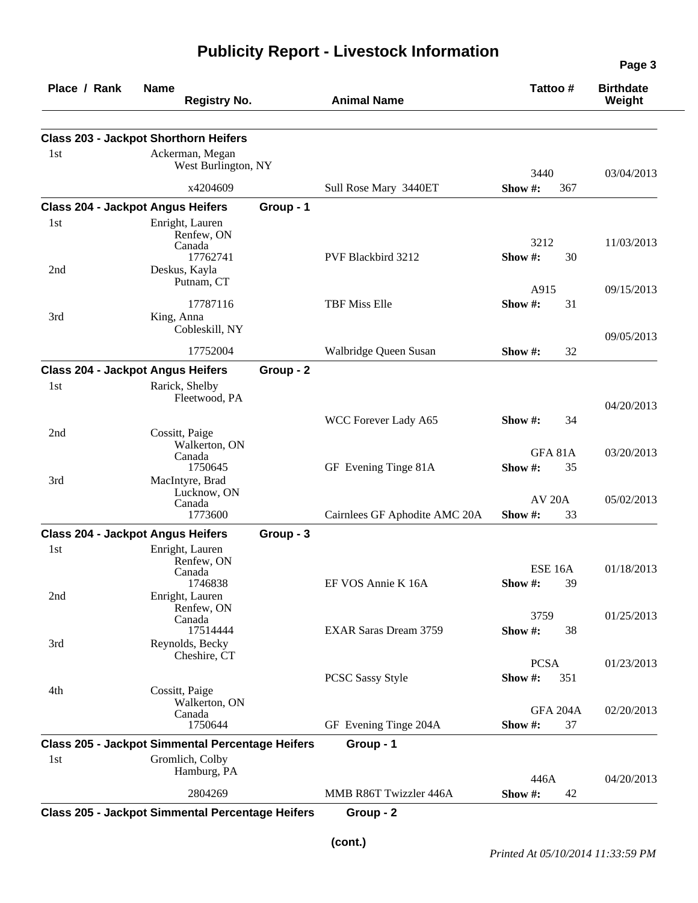| Place / Rank                             | <b>Name</b><br><b>Registry No.</b>                                   |           | <b>Animal Name</b>            | Tattoo #                        | <b>Birthdate</b><br>Weight |
|------------------------------------------|----------------------------------------------------------------------|-----------|-------------------------------|---------------------------------|----------------------------|
|                                          | <b>Class 203 - Jackpot Shorthorn Heifers</b>                         |           |                               |                                 |                            |
| 1st                                      | Ackerman, Megan<br>West Burlington, NY                               |           |                               | 3440                            | 03/04/2013                 |
|                                          | x4204609                                                             |           | Sull Rose Mary 3440ET         | Show #:<br>367                  |                            |
| <b>Class 204 - Jackpot Angus Heifers</b> |                                                                      | Group - 1 |                               |                                 |                            |
| 1st<br>2nd                               | Enright, Lauren<br>Renfew, ON<br>Canada<br>17762741<br>Deskus, Kayla |           | PVF Blackbird 3212            | 3212<br>Show#:<br>30            | 11/03/2013                 |
|                                          | Putnam, CT                                                           |           |                               | A915                            | 09/15/2013                 |
| 3rd                                      | 17787116<br>King, Anna<br>Cobleskill, NY                             |           | <b>TBF Miss Elle</b>          | Show#:<br>31                    |                            |
|                                          | 17752004                                                             |           | Walbridge Queen Susan         | Show #:<br>32                   | 09/05/2013                 |
| <b>Class 204 - Jackpot Angus Heifers</b> |                                                                      | Group - 2 |                               |                                 |                            |
| 1st                                      | Rarick, Shelby<br>Fleetwood, PA                                      |           |                               |                                 | 04/20/2013                 |
| 2nd                                      | Cossitt, Paige                                                       |           | WCC Forever Lady A65          | 34<br>Show $#$ :                |                            |
|                                          | Walkerton, ON                                                        |           |                               | GFA 81A                         | 03/20/2013                 |
| 3rd                                      | Canada<br>1750645<br>MacIntyre, Brad                                 |           | GF Evening Tinge 81A          | Show#:<br>35                    |                            |
|                                          | Lucknow, ON<br>Canada<br>1773600                                     |           | Cairnlees GF Aphodite AMC 20A | <b>AV 20A</b><br>Show #:<br>33  | 05/02/2013                 |
| <b>Class 204 - Jackpot Angus Heifers</b> |                                                                      | Group - 3 |                               |                                 |                            |
| 1st                                      | Enright, Lauren<br>Renfew, ON<br>Canada<br>1746838                   |           | EF VOS Annie K 16A            | <b>ESE 16A</b><br>Show #:<br>39 | 01/18/2013                 |
| 2nd                                      | Enright, Lauren<br>Renfew, ON<br>Canada                              |           |                               | 3759                            | 01/25/2013                 |
| 3rd                                      | 17514444<br>Reynolds, Becky<br>Cheshire, CT                          |           | <b>EXAR Saras Dream 3759</b>  | Show #:<br>38                   |                            |
|                                          |                                                                      |           | <b>PCSC Sassy Style</b>       | <b>PCSA</b><br>Show#:<br>351    | 01/23/2013                 |
| 4th                                      | Cossitt, Paige<br>Walkerton, ON                                      |           |                               | <b>GFA 204A</b>                 | 02/20/2013                 |
|                                          | Canada<br>1750644                                                    |           | GF Evening Tinge 204A         | Show #:<br>37                   |                            |
|                                          | <b>Class 205 - Jackpot Simmental Percentage Heifers</b>              |           | Group - 1                     |                                 |                            |
| 1st                                      | Gromlich, Colby<br>Hamburg, PA                                       |           |                               | 446A                            | 04/20/2013                 |
|                                          | 2804269                                                              |           | MMB R86T Twizzler 446A        | Show #:<br>42                   |                            |
|                                          | <b>Class 205 - Jackpot Simmental Percentage Heifers</b>              |           | Group - 2                     |                                 |                            |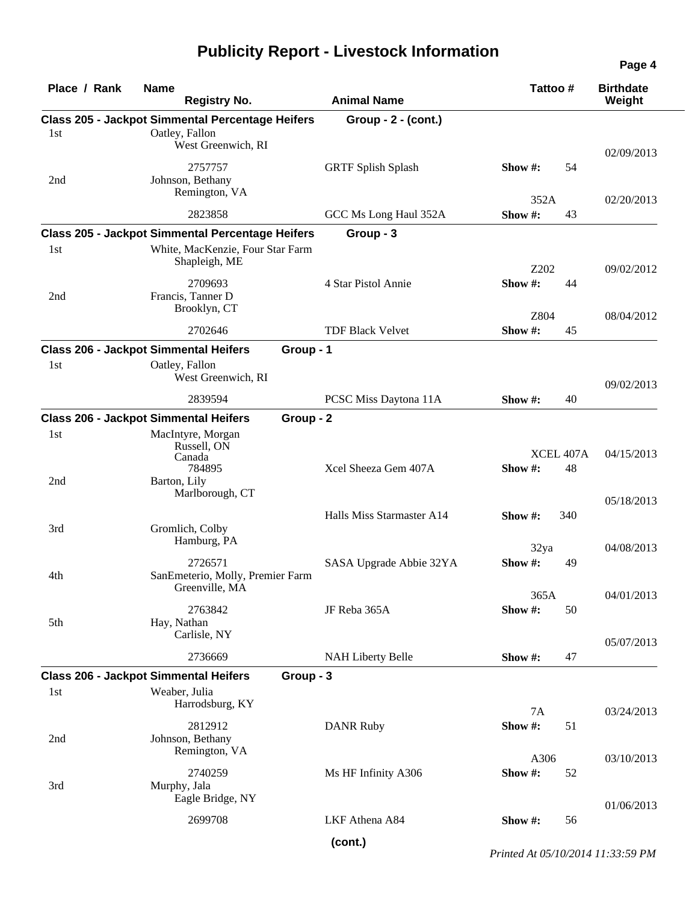|  |  |  | <b>Publicity Report - Livestock Information</b> |
|--|--|--|-------------------------------------------------|
|--|--|--|-------------------------------------------------|

|              |                                                                                                              |           |                           |                 |                 | Page 4                     |
|--------------|--------------------------------------------------------------------------------------------------------------|-----------|---------------------------|-----------------|-----------------|----------------------------|
| Place / Rank | <b>Name</b><br><b>Registry No.</b>                                                                           |           | <b>Animal Name</b>        | Tattoo#         |                 | <b>Birthdate</b><br>Weight |
| 1st          | <b>Class 205 - Jackpot Simmental Percentage Heifers</b><br>Oatley, Fallon<br>West Greenwich, RI              |           | $Group - 2 - (cont.)$     |                 |                 |                            |
|              | 2757757                                                                                                      |           | <b>GRTF Splish Splash</b> | Show $#$ :      | 54              | 02/09/2013                 |
| 2nd          | Johnson, Bethany<br>Remington, VA                                                                            |           |                           | 352A            |                 | 02/20/2013                 |
|              | 2823858                                                                                                      |           | GCC Ms Long Haul 352A     | Show#:          | 43              |                            |
| 1st          | <b>Class 205 - Jackpot Simmental Percentage Heifers</b><br>White, MacKenzie, Four Star Farm<br>Shapleigh, ME |           | Group - 3                 | Z202            |                 | 09/02/2012                 |
| 2nd          | 2709693<br>Francis, Tanner D<br>Brooklyn, CT                                                                 |           | 4 Star Pistol Annie       | Show#:          | 44              |                            |
|              | 2702646                                                                                                      |           | <b>TDF Black Velvet</b>   | Z804<br>Show#:  | 45              | 08/04/2012                 |
|              | <b>Class 206 - Jackpot Simmental Heifers</b>                                                                 | Group - 1 |                           |                 |                 |                            |
| 1st          | Oatley, Fallon<br>West Greenwich, RI                                                                         |           |                           |                 |                 | 09/02/2013                 |
|              | 2839594                                                                                                      |           | PCSC Miss Daytona 11A     | Show $#$ :      | 40              |                            |
|              | <b>Class 206 - Jackpot Simmental Heifers</b>                                                                 | Group - 2 |                           |                 |                 |                            |
| 1st<br>2nd   | MacIntyre, Morgan<br>Russell, ON<br>Canada<br>784895<br>Barton, Lily                                         |           | Xcel Sheeza Gem 407A      | Show #:         | XCEL 407A<br>48 | 04/15/2013                 |
|              | Marlborough, CT                                                                                              |           | Halls Miss Starmaster A14 | Show $#$ :      | 340             | 05/18/2013                 |
| 3rd          | Gromlich, Colby<br>Hamburg, PA                                                                               |           |                           | 32ya            |                 | 04/08/2013                 |
| 4th          | 2726571<br>SanEmeterio, Molly, Premier Farm<br>Greenville, MA                                                |           | SASA Upgrade Abbie 32YA   | Show #:<br>365A | 49              |                            |
| 5th          | 2763842<br>Hay, Nathan<br>Carlisle, NY                                                                       |           | JF Reba 365A              | Show #:         | 50              | 04/01/2013                 |
|              | 2736669                                                                                                      |           | <b>NAH Liberty Belle</b>  | Show#:          | 47              | 05/07/2013                 |
|              | <b>Class 206 - Jackpot Simmental Heifers</b>                                                                 | Group - 3 |                           |                 |                 |                            |
| 1st          | Weaber, Julia<br>Harrodsburg, KY                                                                             |           |                           | 7A              |                 | 03/24/2013                 |
| 2nd          | 2812912<br>Johnson, Bethany                                                                                  |           | <b>DANR Ruby</b>          | Show#:          | 51              |                            |
|              | Remington, VA<br>2740259                                                                                     |           | Ms HF Infinity A306       | A306<br>Show#:  | 52              | 03/10/2013                 |
| 3rd          | Murphy, Jala<br>Eagle Bridge, NY                                                                             |           |                           |                 |                 | 01/06/2013                 |
|              | 2699708                                                                                                      |           | LKF Athena A84            | Show #:         | 56              |                            |
|              |                                                                                                              |           | (cont.)                   |                 |                 |                            |

*Printed At 05/10/2014 11:33:59 PM*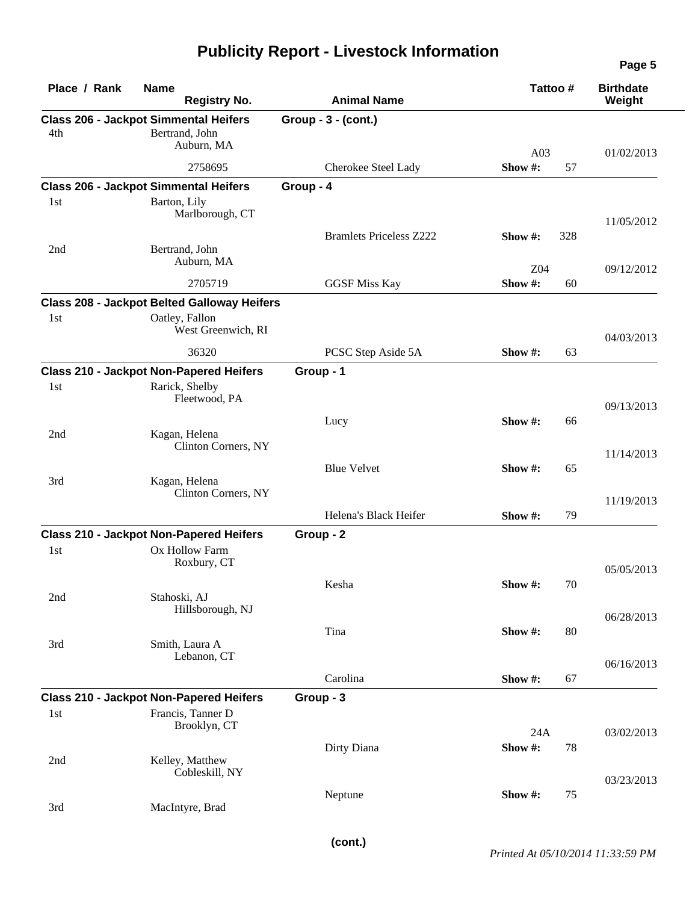| Place / Rank | <b>Name</b><br><b>Registry No.</b>                                              | <b>Animal Name</b>             | Tattoo #                          | <b>Birthdate</b><br>Weight |
|--------------|---------------------------------------------------------------------------------|--------------------------------|-----------------------------------|----------------------------|
| 4th          | <b>Class 206 - Jackpot Simmental Heifers</b><br>Bertrand, John<br>Auburn, MA    | Group - 3 - (cont.)            | A03                               |                            |
|              | 2758695                                                                         | Cherokee Steel Lady            | Show#:<br>57                      | 01/02/2013                 |
|              | <b>Class 206 - Jackpot Simmental Heifers</b>                                    | Group - 4                      |                                   |                            |
| 1st          | Barton, Lily<br>Marlborough, CT                                                 |                                |                                   | 11/05/2012                 |
| 2nd          | Bertrand, John<br>Auburn, MA                                                    | <b>Bramlets Priceless Z222</b> | Show #:<br>328<br>Z <sub>04</sub> | 09/12/2012                 |
|              | 2705719                                                                         | <b>GGSF Miss Kay</b>           | Show#:                            | 60                         |
|              | <b>Class 208 - Jackpot Belted Galloway Heifers</b>                              |                                |                                   |                            |
| 1st          | Oatley, Fallon<br>West Greenwich, RI                                            |                                |                                   | 04/03/2013                 |
|              | 36320                                                                           | PCSC Step Aside 5A             | Show#:<br>63                      |                            |
|              | <b>Class 210 - Jackpot Non-Papered Heifers</b>                                  | Group - 1                      |                                   |                            |
| 1st          | Rarick, Shelby<br>Fleetwood, PA                                                 |                                |                                   | 09/13/2013                 |
| 2nd          | Kagan, Helena                                                                   | Lucy                           | Show #:                           | 66                         |
|              | Clinton Corners, NY                                                             |                                |                                   | 11/14/2013                 |
| 3rd          | Kagan, Helena<br>Clinton Corners, NY                                            | <b>Blue Velvet</b>             | Show #:<br>65                     |                            |
|              |                                                                                 | Helena's Black Heifer          | Show #:                           | 11/19/2013<br>79           |
|              |                                                                                 |                                |                                   |                            |
| 1st          | <b>Class 210 - Jackpot Non-Papered Heifers</b><br>Ox Hollow Farm<br>Roxbury, CT | Group - 2                      |                                   | 05/05/2013                 |
| 2nd          | Stahoski, AJ                                                                    | Kesha                          | Show #:                           | 70                         |
|              | Hillsborough, NJ                                                                | Tina                           | Show#:                            | 06/28/2013<br>80           |
| 3rd          | Smith, Laura A<br>Lebanon, CT                                                   |                                |                                   | 06/16/2013                 |
|              |                                                                                 | Carolina                       | Show#:<br>67                      |                            |
|              | <b>Class 210 - Jackpot Non-Papered Heifers</b>                                  | Group - 3                      |                                   |                            |
| 1st          | Francis, Tanner D<br>Brooklyn, CT                                               |                                | 24A                               | 03/02/2013                 |
| 2nd          | Kelley, Matthew<br>Cobleskill, NY                                               | Dirty Diana                    | Show#:                            | 78                         |
| 3rd          | MacIntyre, Brad                                                                 | Neptune                        | Show#:                            | 03/23/2013<br>75           |
|              |                                                                                 |                                |                                   |                            |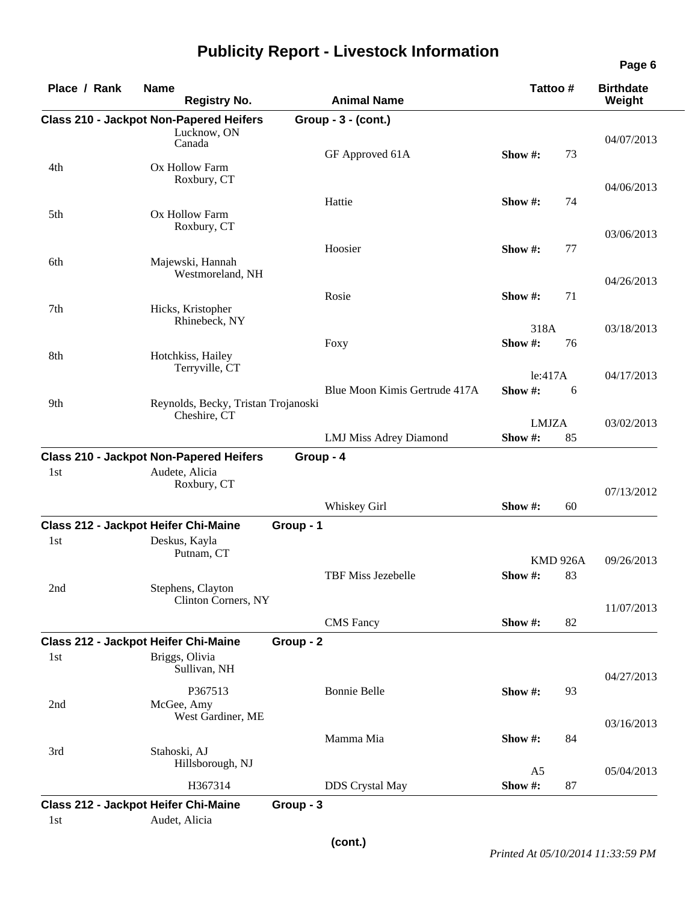| Place / Rank | <b>Name</b><br><b>Registry No.</b>                            | <b>Animal Name</b>            | Tattoo#          | <b>Birthdate</b><br>Weight |
|--------------|---------------------------------------------------------------|-------------------------------|------------------|----------------------------|
|              | <b>Class 210 - Jackpot Non-Papered Heifers</b><br>Lucknow, ON | Group - 3 - (cont.)           |                  | 04/07/2013                 |
|              | Canada                                                        | GF Approved 61A               | 73<br>Show $#$ : |                            |
| 4th          | Ox Hollow Farm<br>Roxbury, CT                                 |                               |                  | 04/06/2013                 |
|              | Ox Hollow Farm                                                | Hattie                        | Show #:<br>74    |                            |
| 5th          | Roxbury, CT                                                   |                               |                  | 03/06/2013                 |
|              |                                                               | Hoosier                       | 77<br>Show #:    |                            |
| 6th          | Majewski, Hannah<br>Westmoreland, NH                          |                               |                  | 04/26/2013                 |
|              |                                                               | Rosie                         | 71<br>Show #:    |                            |
| 7th          | Hicks, Kristopher<br>Rhinebeck, NY                            |                               | 318A             | 03/18/2013                 |
|              |                                                               | Foxy                          | Show #:<br>76    |                            |
| 8th          | Hotchkiss, Hailey<br>Terryville, CT                           |                               | le:417A          | 04/17/2013                 |
|              |                                                               | Blue Moon Kimis Gertrude 417A | Show #:<br>6     |                            |
| 9th          | Reynolds, Becky, Tristan Trojanoski<br>Cheshire, CT           |                               | <b>LMJZA</b>     | 03/02/2013                 |
|              |                                                               | <b>LMJ Miss Adrey Diamond</b> | Show #:<br>85    |                            |
|              | <b>Class 210 - Jackpot Non-Papered Heifers</b>                | Group - 4                     |                  |                            |
| 1st          | Audete, Alicia<br>Roxbury, CT                                 |                               |                  | 07/13/2012                 |
|              |                                                               | Whiskey Girl                  | Show #:<br>60    |                            |
|              | <b>Class 212 - Jackpot Heifer Chi-Maine</b>                   | Group - 1                     |                  |                            |
| 1st          | Deskus, Kayla<br>Putnam, CT                                   |                               | <b>KMD 926A</b>  | 09/26/2013                 |
|              |                                                               | TBF Miss Jezebelle            | Show #:<br>83    |                            |
| 2nd          | Stephens, Clayton<br>Clinton Corners, NY                      |                               |                  | 11/07/2013                 |
|              |                                                               | <b>CMS</b> Fancy              | Show #:<br>82    |                            |
|              | Class 212 - Jackpot Heifer Chi-Maine                          | Group - 2                     |                  |                            |
| 1st          | Briggs, Olivia<br>Sullivan, NH                                |                               |                  | 04/27/2013                 |
|              | P367513                                                       | <b>Bonnie Belle</b>           | Show #:<br>93    |                            |
| 2nd          | McGee, Amy<br>West Gardiner, ME                               |                               |                  | 03/16/2013                 |
|              |                                                               | Mamma Mia                     | 84<br>Show #:    |                            |
| 3rd          | Stahoski, AJ<br>Hillsborough, NJ                              |                               | A <sub>5</sub>   | 05/04/2013                 |
|              |                                                               |                               | Show #:<br>87    |                            |
|              | H367314                                                       | <b>DDS</b> Crystal May        |                  |                            |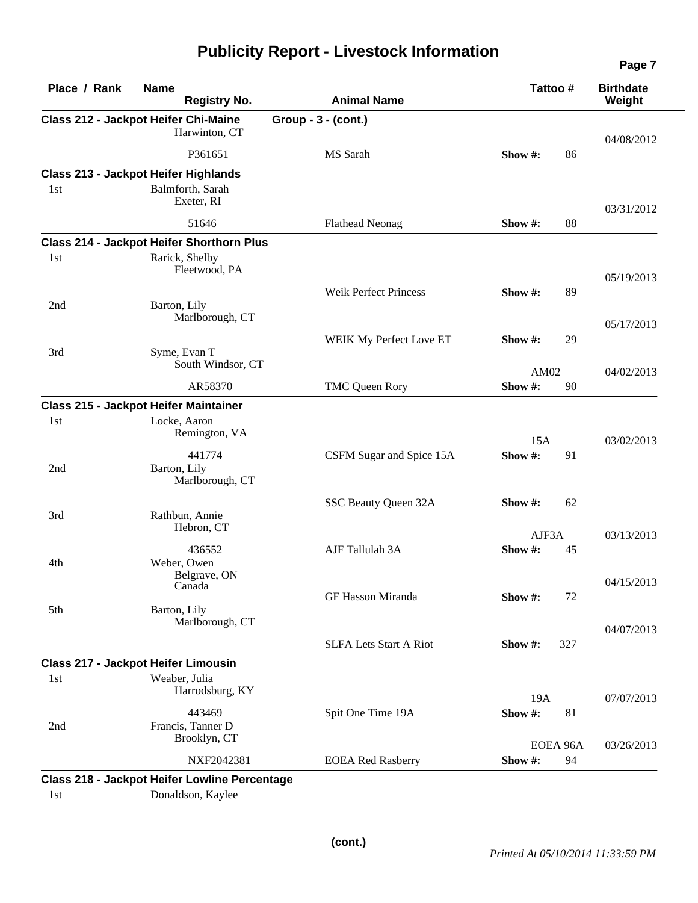| Place / Rank | <b>Name</b><br><b>Registry No.</b>               | <b>Animal Name</b>            | Tattoo #                  | <b>Birthdate</b><br>Weight |
|--------------|--------------------------------------------------|-------------------------------|---------------------------|----------------------------|
|              | <b>Class 212 - Jackpot Heifer Chi-Maine</b>      | Group - 3 - (cont.)           |                           |                            |
|              | Harwinton, CT                                    |                               |                           | 04/08/2012                 |
|              | P361651                                          | MS Sarah                      | 86<br>Show #:             |                            |
|              | <b>Class 213 - Jackpot Heifer Highlands</b>      |                               |                           |                            |
| 1st          | Balmforth, Sarah<br>Exeter, RI                   |                               |                           | 03/31/2012                 |
|              | 51646                                            | <b>Flathead Neonag</b>        | 88<br>Show #:             |                            |
|              | <b>Class 214 - Jackpot Heifer Shorthorn Plus</b> |                               |                           |                            |
| 1st          | Rarick, Shelby<br>Fleetwood, PA                  |                               |                           | 05/19/2013                 |
|              |                                                  | <b>Weik Perfect Princess</b>  | 89<br>Show #:             |                            |
| 2nd          | Barton, Lily<br>Marlborough, CT                  |                               |                           | 05/17/2013                 |
|              |                                                  | WEIK My Perfect Love ET       | Show #:<br>29             |                            |
| 3rd          | Syme, Evan T<br>South Windsor, CT                |                               | AM02                      | 04/02/2013                 |
|              | AR58370                                          | TMC Queen Rory                | Show#:<br>90              |                            |
|              | Class 215 - Jackpot Heifer Maintainer            |                               |                           |                            |
| 1st          | Locke, Aaron<br>Remington, VA                    |                               | 15A                       | 03/02/2013                 |
| 2nd          | 441774<br>Barton, Lily<br>Marlborough, CT        | CSFM Sugar and Spice 15A      | Show#:<br>91              |                            |
|              |                                                  | SSC Beauty Queen 32A          | Show #:<br>62             |                            |
| 3rd          | Rathbun, Annie<br>Hebron, CT                     |                               | AJF3A                     | 03/13/2013                 |
| 4th          | 436552<br>Weber, Owen                            | AJF Tallulah 3A               | Show #:<br>45             |                            |
| 5th          | Belgrave, ON<br>Canada<br>Barton, Lily           | GF Hasson Miranda             | 72<br>Show #:             | 04/15/2013                 |
|              | Marlborough, CT                                  | <b>SLFA Lets Start A Riot</b> | Show #:<br>327            | 04/07/2013                 |
|              | <b>Class 217 - Jackpot Heifer Limousin</b>       |                               |                           |                            |
| 1st          | Weaber, Julia<br>Harrodsburg, KY                 |                               |                           |                            |
| 2nd          | 443469<br>Francis, Tanner D<br>Brooklyn, CT      | Spit One Time 19A             | 19A<br>Show #:<br>81      | 07/07/2013                 |
|              | NXF2042381                                       | <b>EOEA Red Rasberry</b>      | EOEA 96A<br>Show #:<br>94 | 03/26/2013                 |

1st Donaldson, Kaylee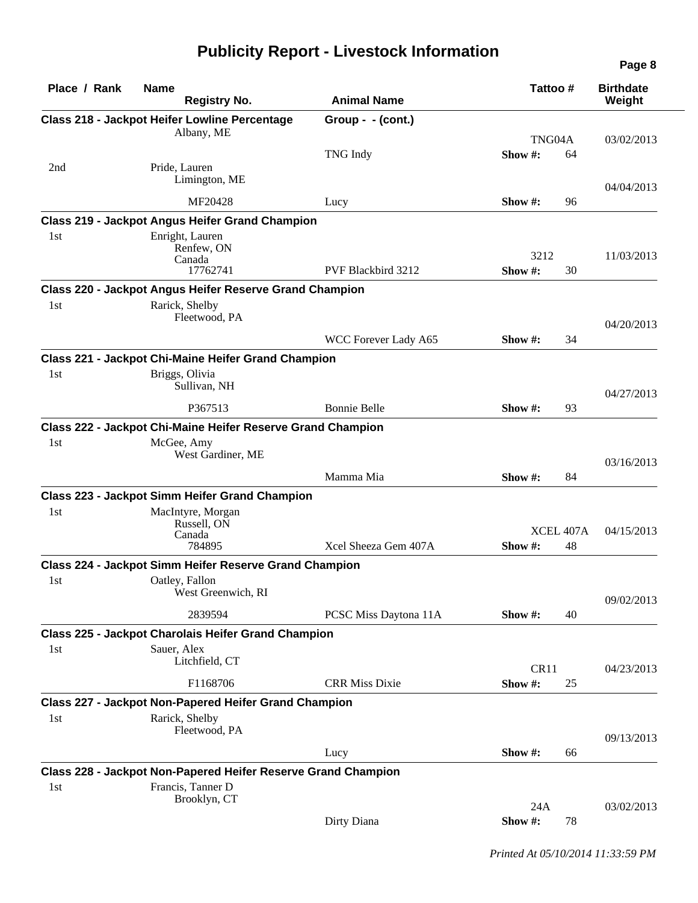|              |                                                                                    |                           |                         |    | Page 8                     |
|--------------|------------------------------------------------------------------------------------|---------------------------|-------------------------|----|----------------------------|
| Place / Rank | <b>Name</b><br><b>Registry No.</b>                                                 | <b>Animal Name</b>        | Tattoo#                 |    | <b>Birthdate</b><br>Weight |
|              | <b>Class 218 - Jackpot Heifer Lowline Percentage</b>                               | Group - $-(\text{cont.})$ |                         |    |                            |
|              | Albany, ME                                                                         |                           | TNG04A                  |    | 03/02/2013                 |
|              |                                                                                    | <b>TNG</b> Indy           | Show #:                 | 64 |                            |
| 2nd          | Pride, Lauren<br>Limington, ME                                                     |                           |                         |    |                            |
|              | MF20428                                                                            |                           | Show $\#$ :             | 96 | 04/04/2013                 |
|              | <b>Class 219 - Jackpot Angus Heifer Grand Champion</b>                             | Lucy                      |                         |    |                            |
| 1st          | Enright, Lauren                                                                    |                           |                         |    |                            |
|              | Renfew, ON                                                                         |                           |                         |    |                            |
|              | Canada                                                                             |                           | 3212                    |    | 11/03/2013                 |
|              | 17762741                                                                           | PVF Blackbird 3212        | Show #:                 | 30 |                            |
|              | Class 220 - Jackpot Angus Heifer Reserve Grand Champion                            |                           |                         |    |                            |
| 1st          | Rarick, Shelby                                                                     |                           |                         |    |                            |
|              | Fleetwood, PA                                                                      |                           |                         |    | 04/20/2013                 |
|              |                                                                                    | WCC Forever Lady A65      | Show $\#$ :             | 34 |                            |
|              | Class 221 - Jackpot Chi-Maine Heifer Grand Champion                                |                           |                         |    |                            |
| 1st          | Briggs, Olivia<br>Sullivan, NH                                                     |                           |                         |    | 04/27/2013                 |
|              | P367513                                                                            | <b>Bonnie Belle</b>       | Show #:                 | 93 |                            |
|              | Class 222 - Jackpot Chi-Maine Heifer Reserve Grand Champion                        |                           |                         |    |                            |
| 1st          | McGee, Amy                                                                         |                           |                         |    |                            |
|              | West Gardiner, ME                                                                  |                           |                         |    |                            |
|              |                                                                                    | Mamma Mia                 | Show #:                 | 84 | 03/16/2013                 |
|              | <b>Class 223 - Jackpot Simm Heifer Grand Champion</b>                              |                           |                         |    |                            |
| 1st          | MacIntyre, Morgan                                                                  |                           |                         |    |                            |
|              | Russell, ON                                                                        |                           |                         |    |                            |
|              | Canada<br>784895                                                                   | Xcel Sheeza Gem 407A      | XCEL 407A<br>Show $#$ : |    | 04/15/2013                 |
|              |                                                                                    |                           |                         | 48 |                            |
|              | Class 224 - Jackpot Simm Heifer Reserve Grand Champion                             |                           |                         |    |                            |
| 1st          | Oatley, Fallon<br>West Greenwich, RI                                               |                           |                         |    |                            |
|              |                                                                                    |                           |                         |    | 09/02/2013                 |
|              | 2839594                                                                            | PCSC Miss Daytona 11A     | Show #:                 | 40 |                            |
|              | <b>Class 225 - Jackpot Charolais Heifer Grand Champion</b>                         |                           |                         |    |                            |
| 1st          | Sauer, Alex<br>Litchfield, CT                                                      |                           | CR11                    |    | 04/23/2013                 |
|              | F1168706                                                                           | <b>CRR Miss Dixie</b>     | Show#:                  | 25 |                            |
|              | Class 227 - Jackpot Non-Papered Heifer Grand Champion                              |                           |                         |    |                            |
| 1st          | Rarick, Shelby                                                                     |                           |                         |    |                            |
|              | Fleetwood, PA                                                                      |                           |                         |    |                            |
|              |                                                                                    | Lucy                      | Show #:                 | 66 | 09/13/2013                 |
|              |                                                                                    |                           |                         |    |                            |
|              | Class 228 - Jackpot Non-Papered Heifer Reserve Grand Champion<br>Francis, Tanner D |                           |                         |    |                            |
| 1st          | Brooklyn, CT                                                                       |                           |                         |    |                            |
|              |                                                                                    |                           | 24A                     |    | 03/02/2013                 |
|              |                                                                                    | Dirty Diana               | Show #:                 | 78 |                            |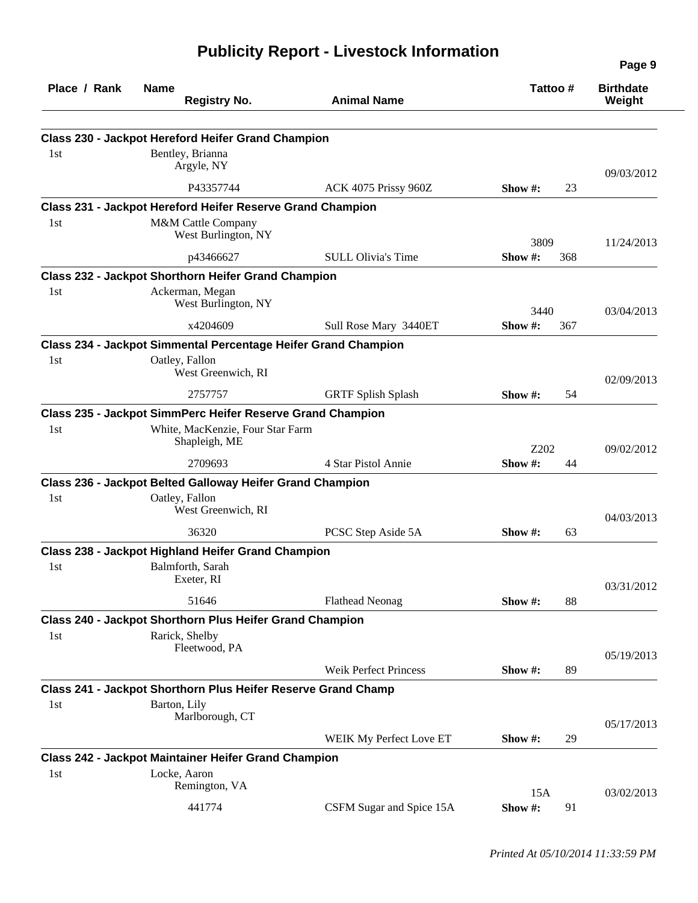| Place / Rank | <b>Name</b><br><b>Registry No.</b>                                            | <b>Animal Name</b>           |            | Tattoo# | <b>Birthdate</b><br>Weight |
|--------------|-------------------------------------------------------------------------------|------------------------------|------------|---------|----------------------------|
|              |                                                                               |                              |            |         |                            |
|              | <b>Class 230 - Jackpot Hereford Heifer Grand Champion</b>                     |                              |            |         |                            |
| 1st          | Bentley, Brianna<br>Argyle, NY                                                |                              |            |         |                            |
|              | P43357744                                                                     | ACK 4075 Prissy 960Z         | Show $#$ : | 23      | 09/03/2012                 |
|              | Class 231 - Jackpot Hereford Heifer Reserve Grand Champion                    |                              |            |         |                            |
| 1st          | M&M Cattle Company                                                            |                              |            |         |                            |
|              | West Burlington, NY                                                           |                              | 3809       |         | 11/24/2013                 |
|              | p43466627                                                                     | <b>SULL Olivia's Time</b>    | Show#:     | 368     |                            |
|              | <b>Class 232 - Jackpot Shorthorn Heifer Grand Champion</b>                    |                              |            |         |                            |
| 1st          | Ackerman, Megan                                                               |                              |            |         |                            |
|              | West Burlington, NY                                                           |                              | 3440       |         | 03/04/2013                 |
|              | x4204609                                                                      | Sull Rose Mary 3440ET        | Show #:    | 367     |                            |
|              | Class 234 - Jackpot Simmental Percentage Heifer Grand Champion                |                              |            |         |                            |
| 1st          | Oatley, Fallon                                                                |                              |            |         |                            |
|              | West Greenwich, RI                                                            |                              |            |         | 02/09/2013                 |
|              | 2757757                                                                       | <b>GRTF Splish Splash</b>    | Show $#$ : | 54      |                            |
|              | Class 235 - Jackpot SimmPerc Heifer Reserve Grand Champion                    |                              |            |         |                            |
| 1st          | White, MacKenzie, Four Star Farm<br>Shapleigh, ME                             |                              |            |         |                            |
|              |                                                                               |                              | Z202       |         | 09/02/2012                 |
|              | 2709693                                                                       | 4 Star Pistol Annie          | Show #:    | 44      |                            |
|              | Class 236 - Jackpot Belted Galloway Heifer Grand Champion                     |                              |            |         |                            |
| 1st          | Oatley, Fallon<br>West Greenwich, RI                                          |                              |            |         |                            |
|              |                                                                               |                              |            |         | 04/03/2013                 |
|              | 36320                                                                         | PCSC Step Aside 5A           | Show $#$ : | 63      |                            |
|              | Class 238 - Jackpot Highland Heifer Grand Champion                            |                              |            |         |                            |
| 1st          | Balmforth, Sarah<br>Exeter, RI                                                |                              |            |         |                            |
|              | 51646                                                                         | <b>Flathead Neonag</b>       |            | 88      | 03/31/2012                 |
|              |                                                                               |                              | Show $#$ : |         |                            |
| 1st          | Class 240 - Jackpot Shorthorn Plus Heifer Grand Champion<br>Rarick, Shelby    |                              |            |         |                            |
|              | Fleetwood, PA                                                                 |                              |            |         |                            |
|              |                                                                               | <b>Weik Perfect Princess</b> | Show $#$ : | 89      | 05/19/2013                 |
|              |                                                                               |                              |            |         |                            |
| 1st          | Class 241 - Jackpot Shorthorn Plus Heifer Reserve Grand Champ<br>Barton, Lily |                              |            |         |                            |
|              | Marlborough, CT                                                               |                              |            |         |                            |
|              |                                                                               | WEIK My Perfect Love ET      | Show $#$ : | 29      | 05/17/2013                 |
|              | <b>Class 242 - Jackpot Maintainer Heifer Grand Champion</b>                   |                              |            |         |                            |
| 1st          | Locke, Aaron                                                                  |                              |            |         |                            |
|              | Remington, VA                                                                 |                              | 15A        |         | 03/02/2013                 |
|              | 441774                                                                        | CSFM Sugar and Spice 15A     | Show #:    | 91      |                            |
|              |                                                                               |                              |            |         |                            |